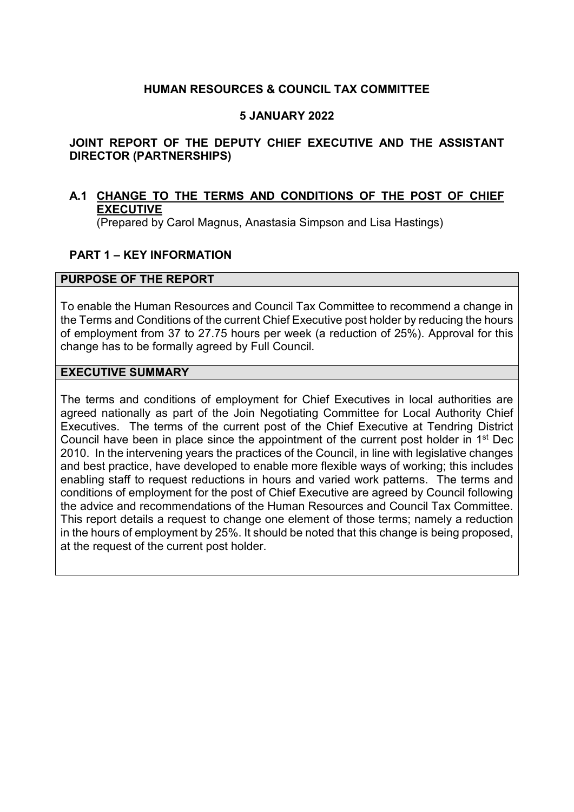# **HUMAN RESOURCES & COUNCIL TAX COMMITTEE**

# **5 JANUARY 2022**

# **JOINT REPORT OF THE DEPUTY CHIEF EXECUTIVE AND THE ASSISTANT DIRECTOR (PARTNERSHIPS)**

# **A.1 CHANGE TO THE TERMS AND CONDITIONS OF THE POST OF CHIEF EXECUTIVE**

(Prepared by Carol Magnus, Anastasia Simpson and Lisa Hastings)

# **PART 1 – KEY INFORMATION**

#### **PURPOSE OF THE REPORT**

To enable the Human Resources and Council Tax Committee to recommend a change in the Terms and Conditions of the current Chief Executive post holder by reducing the hours of employment from 37 to 27.75 hours per week (a reduction of 25%). Approval for this change has to be formally agreed by Full Council.

#### **EXECUTIVE SUMMARY**

The terms and conditions of employment for Chief Executives in local authorities are agreed nationally as part of the Join Negotiating Committee for Local Authority Chief Executives. The terms of the current post of the Chief Executive at Tendring District Council have been in place since the appointment of the current post holder in 1st Dec 2010. In the intervening years the practices of the Council, in line with legislative changes and best practice, have developed to enable more flexible ways of working; this includes enabling staff to request reductions in hours and varied work patterns. The terms and conditions of employment for the post of Chief Executive are agreed by Council following the advice and recommendations of the Human Resources and Council Tax Committee. This report details a request to change one element of those terms; namely a reduction in the hours of employment by 25%. It should be noted that this change is being proposed, at the request of the current post holder.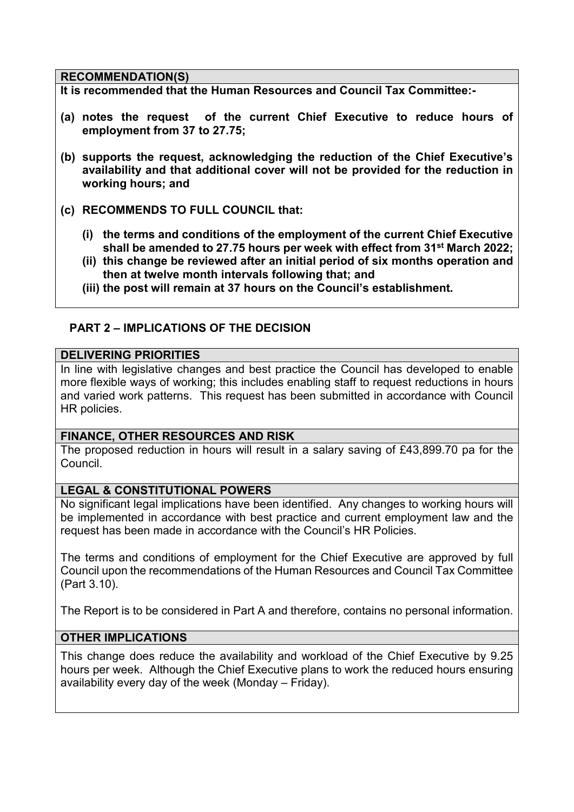#### **RECOMMENDATION(S)**

**It is recommended that the Human Resources and Council Tax Committee:-** 

- **(a) notes the request of the current Chief Executive to reduce hours of employment from 37 to 27.75;**
- **(b) supports the request, acknowledging the reduction of the Chief Executive's availability and that additional cover will not be provided for the reduction in working hours; and**
- **(c) RECOMMENDS TO FULL COUNCIL that:** 
	- **(i) the terms and conditions of the employment of the current Chief Executive shall be amended to 27.75 hours per week with effect from 31st March 2022;**
	- **(ii) this change be reviewed after an initial period of six months operation and then at twelve month intervals following that; and**
	- **(iii) the post will remain at 37 hours on the Council's establishment.**

# **PART 2 – IMPLICATIONS OF THE DECISION**

#### **DELIVERING PRIORITIES**

In line with legislative changes and best practice the Council has developed to enable more flexible ways of working; this includes enabling staff to request reductions in hours and varied work patterns. This request has been submitted in accordance with Council HR policies.

## **FINANCE, OTHER RESOURCES AND RISK**

The proposed reduction in hours will result in a salary saving of £43,899.70 pa for the Council.

## **LEGAL & CONSTITUTIONAL POWERS**

No significant legal implications have been identified. Any changes to working hours will be implemented in accordance with best practice and current employment law and the request has been made in accordance with the Council's HR Policies.

The terms and conditions of employment for the Chief Executive are approved by full Council upon the recommendations of the Human Resources and Council Tax Committee (Part 3.10).

The Report is to be considered in Part A and therefore, contains no personal information.

## **OTHER IMPLICATIONS**

This change does reduce the availability and workload of the Chief Executive by 9.25 hours per week. Although the Chief Executive plans to work the reduced hours ensuring availability every day of the week (Monday – Friday).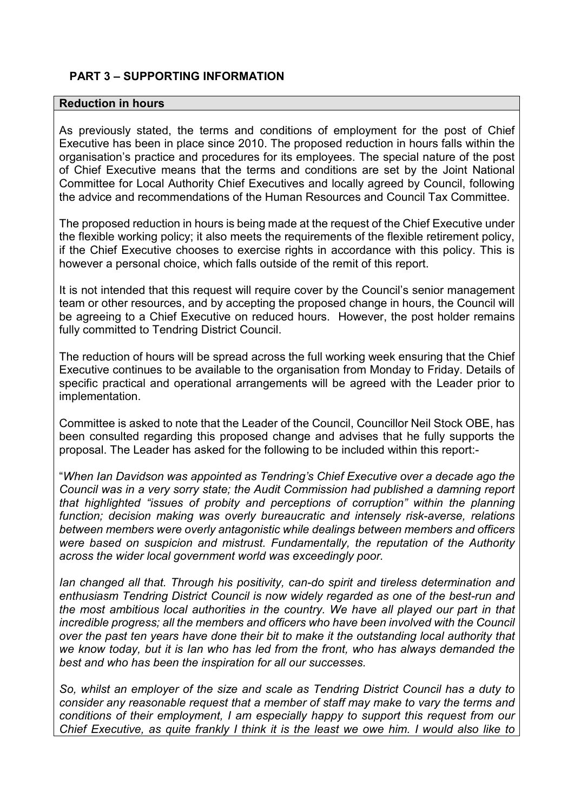# **PART 3 – SUPPORTING INFORMATION**

## **Reduction in hours**

As previously stated, the terms and conditions of employment for the post of Chief Executive has been in place since 2010. The proposed reduction in hours falls within the organisation's practice and procedures for its employees. The special nature of the post of Chief Executive means that the terms and conditions are set by the Joint National Committee for Local Authority Chief Executives and locally agreed by Council, following the advice and recommendations of the Human Resources and Council Tax Committee.

The proposed reduction in hours is being made at the request of the Chief Executive under the flexible working policy; it also meets the requirements of the flexible retirement policy, if the Chief Executive chooses to exercise rights in accordance with this policy. This is however a personal choice, which falls outside of the remit of this report.

It is not intended that this request will require cover by the Council's senior management team or other resources, and by accepting the proposed change in hours, the Council will be agreeing to a Chief Executive on reduced hours. However, the post holder remains fully committed to Tendring District Council.

The reduction of hours will be spread across the full working week ensuring that the Chief Executive continues to be available to the organisation from Monday to Friday. Details of specific practical and operational arrangements will be agreed with the Leader prior to implementation.

Committee is asked to note that the Leader of the Council, Councillor Neil Stock OBE, has been consulted regarding this proposed change and advises that he fully supports the proposal. The Leader has asked for the following to be included within this report:-

"*When Ian Davidson was appointed as Tendring's Chief Executive over a decade ago the Council was in a very sorry state; the Audit Commission had published a damning report that highlighted "issues of probity and perceptions of corruption" within the planning function; decision making was overly bureaucratic and intensely risk-averse, relations between members were overly antagonistic while dealings between members and officers were based on suspicion and mistrust. Fundamentally, the reputation of the Authority across the wider local government world was exceedingly poor.* 

*Ian changed all that. Through his positivity, can-do spirit and tireless determination and enthusiasm Tendring District Council is now widely regarded as one of the best-run and the most ambitious local authorities in the country. We have all played our part in that incredible progress; all the members and officers who have been involved with the Council over the past ten years have done their bit to make it the outstanding local authority that we know today, but it is Ian who has led from the front, who has always demanded the best and who has been the inspiration for all our successes.* 

*So, whilst an employer of the size and scale as Tendring District Council has a duty to consider any reasonable request that a member of staff may make to vary the terms and conditions of their employment, I am especially happy to support this request from our Chief Executive, as quite frankly I think it is the least we owe him. I would also like to*